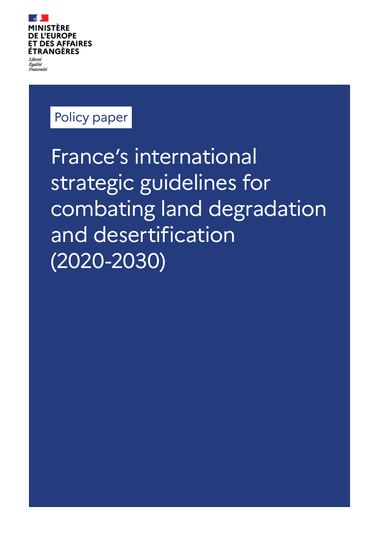

Liberté Égalité Fraternité

### Policy paper

France's international strategic guidelines for combating land degradation and desertification (2020-2030)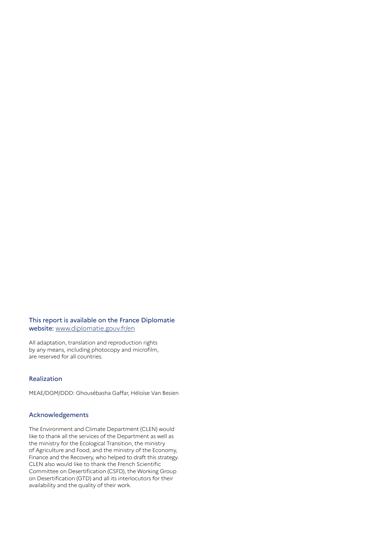#### This report is available on the France Diplomatie website: [www.diplomatie.gouv.fr/en](https://www.diplomatie.gouv.fr/en)

All adaptation, translation and reproduction rights by any means, including photocopy and microfilm, are reserved for all countries.

#### Realization

MEAE/DGM/DDD: Ghousébasha Gaffar, Héloïse Van Besien

#### Acknowledgements

The Environment and Climate Department (CLEN) would like to thank all the services of the Department as well as the ministry for the Ecological Transition, the ministry of Agriculture and Food, and the ministry of the Economy, Finance and the Recovery, who helped to draft this strategy. CLEN also would like to thank the French Scientific Committee on Desertification (CSFD), the Working Group on Desertification (GTD) and all its interlocutors for their availability and the quality of their work.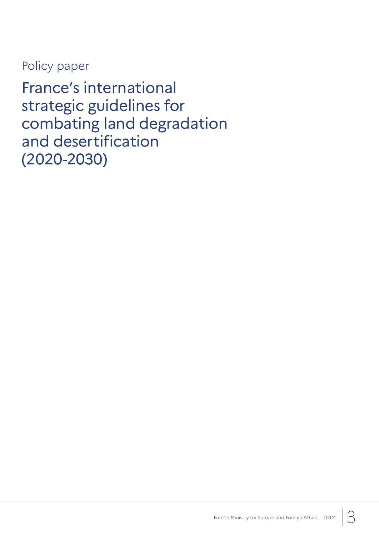### Policy paper

France's international strategic guidelines for combating land degradation and desertification (2020-2030)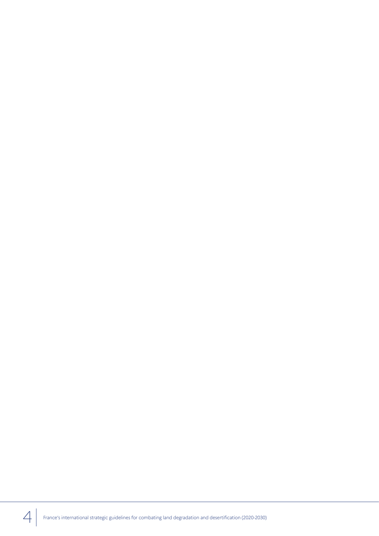France's international strategic guidelines for combating land degradation and desertification (2020-2030) France's international strategic guidelines for combating land degradation and desertification (2020-2030)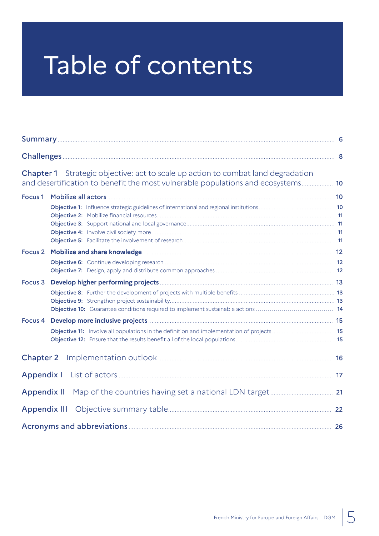# Table of contents

| <b>Chapter 1</b> Strategic objective: act to scale up action to combat land degradation<br>and desertification to benefit the most vulnerable populations and ecosystems |  |
|--------------------------------------------------------------------------------------------------------------------------------------------------------------------------|--|
| Focus <sub>1</sub>                                                                                                                                                       |  |
| Focus 2                                                                                                                                                                  |  |
|                                                                                                                                                                          |  |
|                                                                                                                                                                          |  |
|                                                                                                                                                                          |  |
|                                                                                                                                                                          |  |
| <b>Appendix II</b>                                                                                                                                                       |  |
|                                                                                                                                                                          |  |
|                                                                                                                                                                          |  |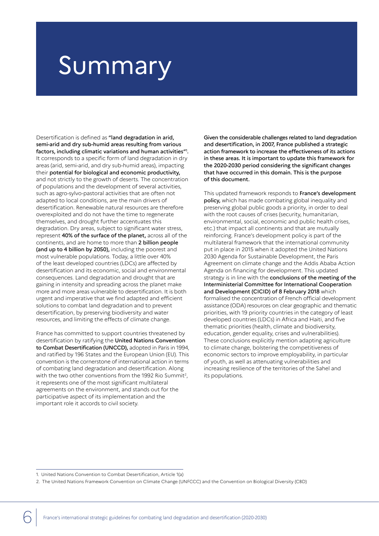## Summary

Desertification is defined as "land degradation in arid, semi-arid and dry sub-humid areas resulting from various factors, including climatic variations and human activities"1 . It corresponds to a specific form of land degradation in dry areas (arid, semi-arid, and dry sub-humid areas), impacting their potential for biological and economic productivity, and not strictly to the growth of deserts. The concentration of populations and the development of several activities, such as agro-sylvo-pastoral activities that are often not adapted to local conditions, are the main drivers of desertification. Renewable natural resources are therefore overexploited and do not have the time to regenerate themselves, and drought further accentuates this degradation. Dry areas, subject to significant water stress, represent 40% of the surface of the planet, across all of the continents, and are home to more than 2 billion people (and up to 4 billion by 2050), including the poorest and most vulnerable populations. Today, a little over 40% of the least developed countries (LDCs) are affected by desertification and its economic, social and environmental consequences. Land degradation and drought that are gaining in intensity and spreading across the planet make more and more areas vulnerable to desertification. It is both urgent and imperative that we find adapted and efficient solutions to combat land degradation and to prevent desertification, by preserving biodiversity and water resources, and limiting the effects of climate change.

France has committed to support countries threatened by desertification by ratifying the United Nations Convention to Combat Desertification (UNCCD), adopted in Paris in 1994, and ratified by 196 States and the European Union (EU). This convention is the cornerstone of international action in terms of combating land degradation and desertification. Along with the two other conventions from the 1992 Rio Summit<sup>2</sup>, it represents one of the most significant multilateral agreements on the environment, and stands out for the participative aspect of its implementation and the important role it accords to civil society.

Given the considerable challenges related to land degradation and desertification, in 2007, France published a strategic action framework to increase the effectiveness of its actions in these areas. It is important to update this framework for the 2020-2030 period considering the significant changes that have occurred in this domain. This is the purpose of this document.

This updated framework responds to **France's development** policy, which has made combating global inequality and preserving global public goods a priority, in order to deal with the root causes of crises (security, humanitarian, environmental, social, economic and public health crises, etc.) that impact all continents and that are mutually reinforcing. France's development policy is part of the multilateral framework that the international community put in place in 2015 when it adopted the United Nations 2030 Agenda for Sustainable Development, the Paris Agreement on climate change and the Addis Ababa Action Agenda on financing for development. This updated strategy is in line with the conclusions of the meeting of the Interministerial Committee for International Cooperation and Development (CICID) of 8 February 2018 which formalised the concentration of French official development assistance (ODA) resources on clear geographic and thematic priorities, with 19 priority countries in the category of least developed countries (LDCs) in Africa and Haiti, and five thematic priorities (health, climate and biodiversity, education, gender equality, crises and vulnerabilities). These conclusions explicitly mention adapting agriculture to climate change, bolstering the competitiveness of economic sectors to improve employability, in particular of youth, as well as attenuating vulnerabilities and increasing resilience of the territories of the Sahel and its populations.

<sup>1.</sup> United Nations Convention to Combat Desertification, Article 1(a)

<sup>2.</sup> The United Nations Framework Convention on Climate Change (UNFCCC) and the Convention on Biological Diversity (CBD)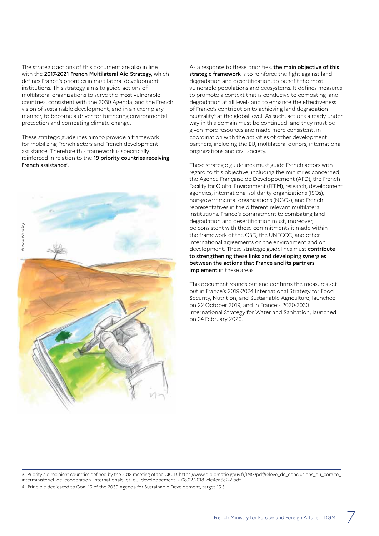The strategic actions of this document are also in line with the 2017-2021 French Multilateral Aid Strategy, which defines France's priorities in multilateral development institutions. This strategy aims to guide actions of multilateral organizations to serve the most vulnerable countries, consistent with the 2030 Agenda, and the French vision of sustainable development, and in an exemplary manner, to become a driver for furthering environmental protection and combating climate change.

These strategic guidelines aim to provide a framework for mobilizing French actors and French development assistance. Therefore this framework is specifically reinforced in relation to the 19 priority countries receiving French assistance<sup>3</sup>.



As a response to these priorities, the main objective of this strategic framework is to reinforce the fight against land degradation and desertification, to benefit the most vulnerable populations and ecosystems. It defines measures to promote a context that is conducive to combating land degradation at all levels and to enhance the effectiveness of France's contribution to achieving land degradation neutrality4 at the global level. As such, actions already under way in this domain must be continued, and they must be given more resources and made more consistent, in coordination with the activities of other development partners, including the EU, multilateral donors, international organizations and civil society.

These strategic guidelines must guide French actors with regard to this objective, including the ministries concerned, the Agence Française de Développement (AFD), the French Facility for Global Environment (FFEM), research, development agencies, international solidarity organizations (ISOs), non-governmental organizations (NGOs), and French representatives in the different relevant multilateral institutions. France's commitment to combating land degradation and desertification must, moreover, be consistent with those commitments it made within the framework of the CBD, the UNFCCC, and other international agreements on the environment and on development. These strategic guidelines must contribute to strengthening these links and developing synergies between the actions that France and its partners implement in these areas.

This document rounds out and confirms the measures set out in France's 2019-2024 International Strategy for Food Security, Nutrition, and Sustainable Agriculture, launched on 22 October 2019, and in France's 2020-2030 International Strategy for Water and Sanitation, launched on 24 February 2020.

3. Priority aid recipient countries defined by the 2018 meeting of the CICID. [https://www.diplomatie.gouv.fr/IMG/pdf/releve\\_de\\_conclusions\\_du\\_comite\\_](https://www.diplomatie.gouv.fr/IMG/pdf/releve_de_conclusions_du_comite_interministeriel_de_cooperation_internationale_et_du_developpement_-_08.02.2018_cle4ea6e2-2.pdf) [interministeriel\\_de\\_cooperation\\_internationale\\_et\\_du\\_developpement\\_-\\_08.02.2018\\_cle4ea6e2-2.pdf](https://www.diplomatie.gouv.fr/IMG/pdf/releve_de_conclusions_du_comite_interministeriel_de_cooperation_internationale_et_du_developpement_-_08.02.2018_cle4ea6e2-2.pdf)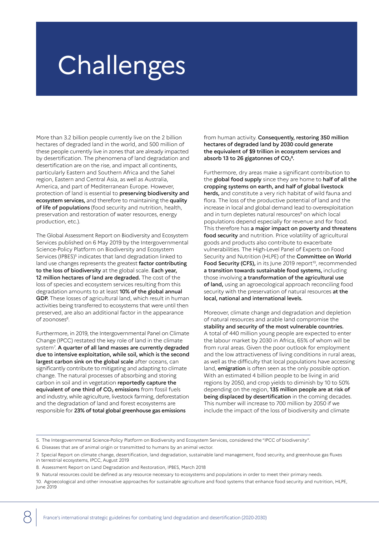## Challenges

More than 3.2 billion people currently live on the 2 billion hectares of degraded land in the world, and 500 million of these people currently live in zones that are already impacted by desertification. The phenomena of land degradation and desertification are on the rise, and impact all continents, particularly Eastern and Southern Africa and the Sahel region, Eastern and Central Asia, as well as Australia, America, and part of Mediterranean Europe. However, protection of land is essential to preserving biodiversity and ecosystem services, and therefore to maintaining the quality of life of populations (food security and nutrition, health, preservation and restoration of water resources, energy production, etc.).

The Global Assessment Report on Biodiversity and Ecosystem Services published on 6 May 2019 by the Intergovernmental Science-Policy Platform on Biodiversity and Ecosystem Services (IPBES)<sup>5</sup> indicates that land degradation linked to land use changes represents the greatest factor contributing to the loss of biodiversity at the global scale. Each year, 12 million hectares of land are degraded. The cost of the loss of species and ecosystem services resulting from this degradation amounts to at least 10% of the global annual GDP. These losses of agricultural land, which result in human activities being transferred to ecosystems that were until then preserved, are also an additional factor in the appearance of zoonoses<sup>6</sup>.

Furthermore, in 2019, the Intergovernmental Panel on Climate Change (IPCC) restated the key role of land in the climate system<sup>7</sup>. A quarter of all land masses are currently degraded due to intensive exploitation, while soil, which is the second largest carbon sink on the global scale after oceans, can significantly contribute to mitigating and adapting to climate change. The natural processes of absorbing and storing carbon in soil and in vegetation reportedly capture the equivalent of one third of  $CO<sub>2</sub>$  emissions from fossil fuels and industry, while agriculture, livestock farming, deforestation and the degradation of land and forest ecosystems are responsible for 23% of total global greenhouse gas emissions

from human activity. Consequently, restoring 350 million hectares of degraded land by 2030 could generate the equivalent of \$9 trillion in ecosystem services and absorb 13 to 26 gigatonnes of  $CO<sub>2</sub><sup>8</sup>$ .

Furthermore, dry areas make a significant contribution to the global food supply since they are home to half of all the cropping systems on earth, and half of global livestock herds, and constitute a very rich habitat of wild fauna and flora. The loss of the productive potential of land and the increase in local and global demand lead to overexploitation and in turn depletes natural resources<sup>9</sup> on which local populations depend especially for revenue and for food. This therefore has a major impact on poverty and threatens food security and nutrition. Price volatility of agricultural goods and products also contribute to exacerbate vulnerabilities. The High-Level Panel of Experts on Food Security and Nutrition (HLPE) of the Committee on World Food Security (CFS), in its June 2019 report<sup>10</sup>, recommended a transition towards sustainable food systems, including those involving a transformation of the agricultural use of land, using an agroecological approach reconciling food security with the preservation of natural resources at the local, national and international levels.

Moreover, climate change and degradation and depletion of natural resources and arable land compromise the stability and security of the most vulnerable countries. A total of 440 million young people are expected to enter the labour market by 2030 in Africa, 65% of whom will be from rural areas. Given the poor outlook for employment and the low attractiveness of living conditions in rural areas, as well as the difficulty that local populations have accessing land, emigration is often seen as the only possible option. With an estimated 4 billion people to be living in arid regions by 2050, and crop yields to diminish by 10 to 50% depending on the region, 135 million people are at risk of being displaced by desertification in the coming decades. This number will increase to 700 million by 2050 if we include the impact of the loss of biodiversity and climate

6. Diseases that are of animal origin or transmitted to humans by an animal vector.

<sup>5.</sup> The Intergovernmental Science-Policy Platform on Biodiversity and Ecosystem Services, considered the "IPCC of biodiversity".

<sup>7.</sup> Special Report on climate change, desertification, land degradation, sustainable land management, food security, and greenhouse gas fluxes in terrestrial ecosystems, IPCC, August 2019

<sup>8.</sup> Assessment Report on Land Degradation and Restoration, IPBES, March 2018

<sup>9.</sup> Natural resources could be defined as any resource necessary to ecosystems and populations in order to meet their primary needs. 10. Agroecological and other innovative approaches for sustainable agriculture and food systems that enhance food security and nutrition, HLPE, June 2019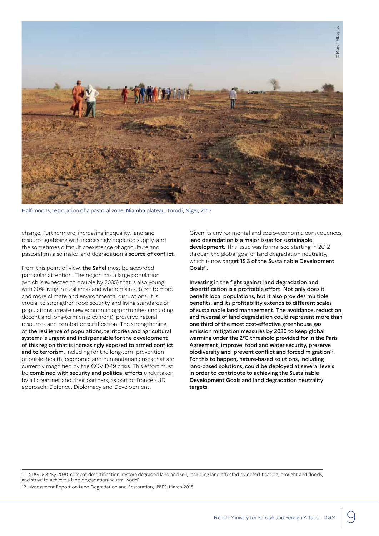

Half-moons, restoration of a pastoral zone, Niamba plateau, Torodi, Niger, 2017

change. Furthermore, increasing inequality, land and resource grabbing with increasingly depleted supply, and the sometimes difficult coexistence of agriculture and pastoralism also make land degradation a source of conflict.

From this point of view, the Sahel must be accorded particular attention. The region has a large population (which is expected to double by 2035) that is also young, with 60% living in rural areas and who remain subject to more and more climate and environmental disruptions. It is crucial to strengthen food security and living standards of populations, create new economic opportunities (including decent and long-term employment), preserve natural resources and combat desertification. The strengthening of the resilience of populations, territories and agricultural systems is urgent and indispensable for the development of this region that is increasingly exposed to armed conflict and to terrorism, including for the long-term prevention of public health, economic and humanitarian crises that are currently magnified by the COVID-19 crisis. This effort must be combined with security and political efforts undertaken by all countries and their partners, as part of France's 3D approach: Defence, Diplomacy and Development.

Given its environmental and socio-economic consequences, land degradation is a major issue for sustainable development. This issue was formalised starting in 2012 through the global goal of land degradation neutrality, which is now target 15.3 of the Sustainable Development Goals<sup>11</sup>.

Investing in the fight against land degradation and desertification is a profitable effort. Not only does it benefit local populations, but it also provides multiple benefits, and its profitability extends to different scales of sustainable land management. The avoidance, reduction and reversal of land degradation could represent more than one third of the most cost-effective greenhouse gas emission mitigation measures by 2030 to keep global warming under the 2°C threshold provided for in the Paris Agreement, improve food and water security, preserve biodiversity and prevent conflict and forced migration<sup>12</sup>. For this to happen, nature-based solutions, including land-based solutions, could be deployed at several levels in order to contribute to achieving the Sustainable Development Goals and land degradation neutrality targets.

11. SDG 15.3:"By 2030, combat desertification, restore degraded land and soil, including land affected by desertification, drought and floods, and strive to achieve a land degradation-neutral world"

12. Assessment Report on Land Degradation and Restoration, IPBES, March 2018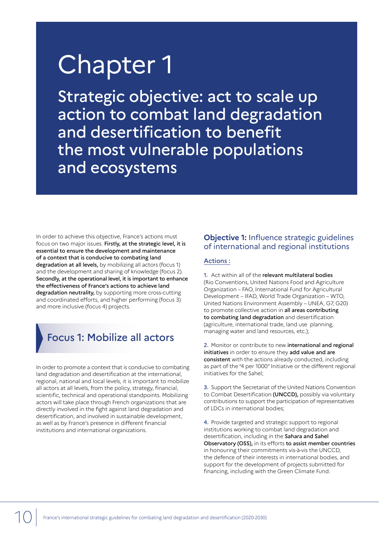## Chapter 1

Strategic objective: act to scale up action to combat land degradation and desertification to benefit the most vulnerable populations and ecosystems

In order to achieve this objective, France's actions must focus on two major issues. Firstly, at the strategic level, it is essential to ensure the development and maintenance of a context that is conducive to combating land degradation at all levels, by mobilizing all actors (focus 1) and the development and sharing of knowledge (focus 2). Secondly, at the operational level, it is important to enhance the effectiveness of France's actions to achieve land degradation neutrality, by supporting more cross-cutting and coordinated efforts, and higher performing (focus 3) and more inclusive (focus 4) projects.

### Focus 1: Mobilize all actors

In order to promote a context that is conducive to combating land degradation and desertification at the international, regional, national and local levels, it is important to mobilize all actors at all levels, from the policy, strategy, financial, scientific, technical and operational standpoints. Mobilizing actors will take place through French organizations that are directly involved in the fight against land degradation and desertification, and involved in sustainable development, as well as by France's presence in different financial institutions and international organizations.

#### **Objective 1:** Influence strategic guidelines of international and regional institutions

#### Actions :

1. Act within all of the relevant multilateral bodies (Rio Conventions, United Nations Food and Agriculture Organization – FAO, International Fund for Agricultural Development – IFAD, World Trade Organization – WTO, United Nations Environment Assembly – UNEA, G7, G20) to promote collective action in all areas contributing to combating land degradation and desertification (agriculture, international trade, land use planning, managing water and land resources, etc.);

2. Monitor or contribute to new international and regional initiatives in order to ensure they add value and are consistent with the actions already conducted, including as part of the "4 per 1000" Initiative or the different regional initiatives for the Sahel;

3. Support the Secretariat of the United Nations Convention to Combat Desertification (UNCCD), possibly via voluntary contributions to support the participation of representatives of LDCs in international bodies;

4. Provide targeted and strategic support to regional institutions working to combat land degradation and desertification, including in the Sahara and Sahel Observatory (OSS), in its efforts to assist member countries in honouring their commitments vis-à-vis the UNCCD, the defence of their interests in international bodies, and support for the development of projects submitted for financing, including with the Green Climate Fund.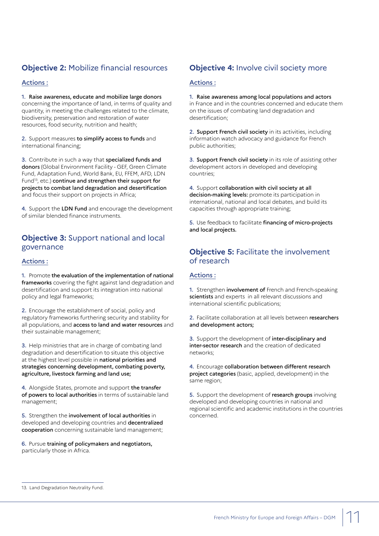#### **Objective 2:** Mobilize financial resources

#### Actions :

1. Raise awareness, educate and mobilize large donors concerning the importance of land, in terms of quality and quantity, in meeting the challenges related to the climate, biodiversity, preservation and restoration of water resources, food security, nutrition and health;

2. Support measures to simplify access to funds and international financing;

3. Contribute in such a way that specialized funds and donors (Global Environment Facility - GEF, Green Climate Fund, Adaptation Fund, World Bank, EU, FFEM, AFD, LDN Fund<sup>13</sup>, etc.) continue and strengthen their support for projects to combat land degradation and desertification and focus their support on projects in Africa;

4. Support the LDN Fund and encourage the development of similar blended finance instruments.

#### **Objective 3:** Support national and local governance

#### Actions :

1. Promote the evaluation of the implementation of national frameworks covering the fight against land degradation and desertification and support its integration into national policy and legal frameworks;

2. Encourage the establishment of social, policy and regulatory frameworks furthering security and stability for all populations, and access to land and water resources and their sustainable management;

3. Help ministries that are in charge of combating land degradation and desertification to situate this objective at the highest level possible in national priorities and strategies concerning development, combating poverty, agriculture, livestock farming and land use;

4. Alongside States, promote and support the transfer of powers to local authorities in terms of sustainable land management;

5. Strengthen the involvement of local authorities in developed and developing countries and decentralized cooperation concerning sustainable land management;

6. Pursue training of policymakers and negotiators, particularly those in Africa.

#### **Objective 4: Involve civil society more**

#### Actions :

1. Raise awareness among local populations and actors in France and in the countries concerned and educate them on the issues of combating land degradation and desertification;

2. Support French civil society in its activities, including information watch advocacy and guidance for French public authorities;

3. Support French civil society in its role of assisting other development actors in developed and developing countries;

4. Support collaboration with civil society at all decision-making levels: promote its participation in international, national and local debates, and build its capacities through appropriate training;

5. Use feedback to facilitate financing of micro-projects and local projects.

#### **Objective 5:** Facilitate the involvement of research

#### Actions :

1. Strengthen involvement of French and French-speaking scientists and experts in all relevant discussions and international scientific publications;

2. Facilitate collaboration at all levels between researchers and development actors;

3. Support the development of inter-disciplinary and inter-sector research and the creation of dedicated networks;

4. Encourage collaboration between different research project categories (basic, applied, development) in the same region;

5. Support the development of research groups involving developed and developing countries in national and regional scientific and academic institutions in the countries concerned.

<sup>13.</sup> Land Degradation Neutrality Fund.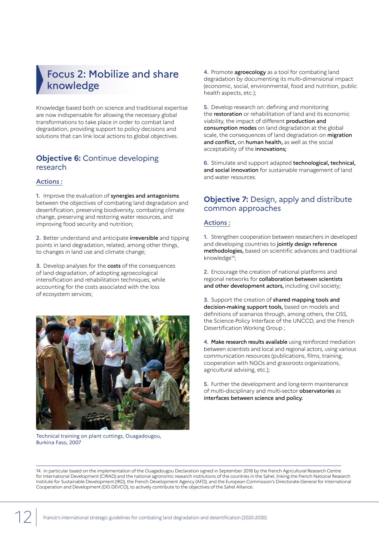### Focus 2: Mobilize and share knowledge

Knowledge based both on science and traditional expertise are now indispensable for allowing the necessary global transformations to take place in order to combat land degradation, providing support to policy decisions and solutions that can link local actions to global objectives.

#### **Objective 6:** Continue developing research

#### Actions :

1. Improve the evaluation of synergies and antagonisms between the objectives of combating land degradation and desertification, preserving biodiversity, combating climate change, preserving and restoring water resources, and improving food security and nutrition;

2. Better understand and anticipate irreversible and tipping points in land degradation, related, among other things, to changes in land use and climate change;

3. Develop analyses for the costs of the consequences of land degradation, of adopting agroecological intensification and rehabilitation techniques, while accounting for the costs associated with the loss of ecosystem services;



Technical training on plant cuttings, Ouagadougou, Burkina Faso, 2007

4. Promote agroecology as a tool for combating land degradation by documenting its multi-dimensional impact (economic, social, environmental, food and nutrition, public health aspects, etc.);

5. Develop research on: defining and monitoring the restoration or rehabilitation of land and its economic viability, the impact of different production and consumption modes on land degradation at the global scale, the consequences of land degradation on migration and conflict, on human health, as well as the social acceptability of the innovations;

6. Stimulate and support adapted technological, technical, and social innovation for sustainable management of land and water resources.

#### **Objective 7:** Design, apply and distribute common approaches

#### Actions :

1. Strengthen cooperation between researchers in developed and developing countries to jointly design reference methodologies, based on scientific advances and traditional knowledge<sup>14</sup>;

2. Encourage the creation of national platforms and regional networks for collaboration between scientists and other development actors, including civil society;

3. Support the creation of shared mapping tools and decision-making support tools, based on models and definitions of scenarios through, among others, the OSS, the Science-Policy Interface of the UNCCD, and the French Desertification Working Group ;

4. Make research results available using reinforced mediation between scientists and local and regional actors, using various communication resources (publications, films, training, cooperation with NGOs and grassroots organizations, agricultural advising, etc.);

5. Further the development and long-term maintenance of multi-disciplinary and multi-sector observatories as interfaces between science and policy.

14. In particular based on the implementation of the Ouagadougou Declaration signed in September 2018 by the French Agricultural Research Centre for International Development (CIRAD) and the national agronomic research institutions of the countries in the Sahel, linking the French National Research Institute for Sustainable Development (IRD), the French Development Agency (AFD), and the European Commission's Directorate-General for International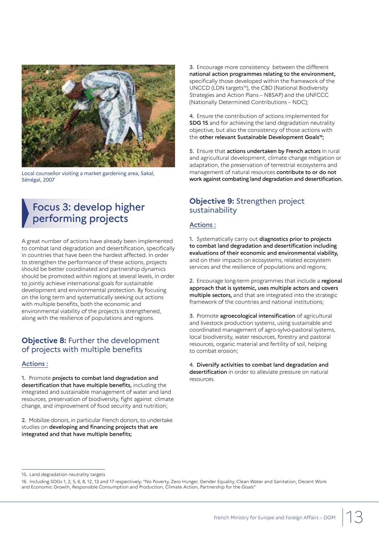

Local counsellor visiting a market gardening area, Sakal, Sénégal, 2007

### Focus 3: develop higher performing projects

A great number of actions have already been implemented to combat land degradation and desertification, specifically in countries that have been the hardest affected. In order to strengthen the performance of these actions, projects should be better coordinated and partnership dynamics should be promoted within regions at several levels, in order to jointly achieve international goals for sustainable development and environmental protection. By focusing on the long term and systematically seeking out actions with multiple benefits, both the economic and environmental viability of the projects is strengthened, along with the resilience of populations and regions.

#### **Objective 8:** Further the development of projects with multiple benefits

#### Actions :

1. Promote projects to combat land degradation and desertification that have multiple benefits, including the integrated and sustainable management of water and land resources, preservation of biodiversity, fight against climate change, and improvement of food security and nutrition;

2. Mobilize donors, in particular French donors, to undertake studies on developing and financing projects that are integrated and that have multiple benefits;

3. Encourage more consistency between the different national action programmes relating to the environment, specifically those developed within the framework of the UNCCD (LDN targets15), the CBD (National Biodiversity Strategies and Action Plans – NBSAP) and the UNFCCC (Nationally Determined Contributions – NDC);

4. Ensure the contribution of actions implemented for SDG 15 and for achieving the land degradation neutrality objective, but also the consistency of those actions with the other relevant Sustainable Development Goals<sup>16</sup>;

5. Ensure that actions undertaken by French actors in rural and agricultural development, climate change mitigation or adaptation, the preservation of terrestrial ecosystems and management of natural resources contribute to or do not work against combating land degradation and desertification.

#### **Objective 9:** Strengthen project sustainability

#### Actions :

1. Systematically carry out diagnostics prior to projects to combat land degradation and desertification including evaluations of their economic and environmental viability, and on their impacts on ecosystems, related ecosystem services and the resilience of populations and regions;

2. Encourage long-term programmes that include a regional approach that is systemic, uses multiple actors and covers multiple sectors, and that are integrated into the strategic framework of the countries and national institutions;

3. Promote agroecological intensification of agricultural and livestock production systems, using sustainable and coordinated management of agro-sylvo-pastoral systems, local biodiversity, water resources, forestry and pastoral resources, organic material and fertility of soil, helping to combat erosion;

4. Diversify activities to combat land degradation and desertification in order to alleviate pressure on natural resources.

<sup>15.</sup> Land degradation neutrality targets

<sup>16.</sup> Including SDGs 1, 2, 5, 6, 8, 12, 13 and 17 respectively: "No Poverty, Zero Hunger, Gender Equality, Clean Water and Sanitation, Decent Work and Economic Growth, Responsible Consumption and Production, Climate Action, Partnership for the Goals"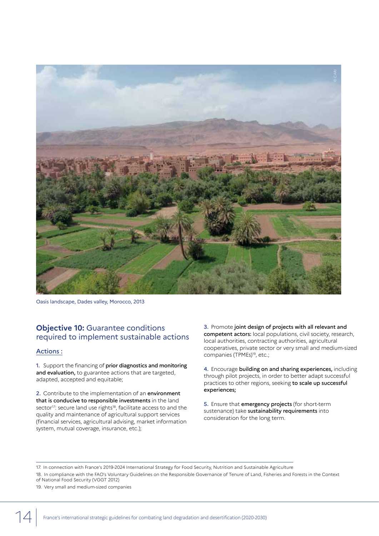

Oasis landscape, Dades valley, Morocco, 2013

#### **Objective 10:** Guarantee conditions required to implement sustainable actions

#### Actions :

1. Support the financing of prior diagnostics and monitoring and evaluation, to guarantee actions that are targeted, adapted, accepted and equitable;

2. Contribute to the implementation of an environment that is conducive to responsible investments in the land sector<sup>17</sup>: secure land use rights<sup>18</sup>, facilitate access to and the quality and maintenance of agricultural support services (financial services, agricultural advising, market information system, mutual coverage, insurance, etc.);

3. Promote joint design of projects with all relevant and competent actors: local populations, civil society, research, local authorities, contracting authorities, agricultural cooperatives, private sector or very small and medium-sized companies (TPMEs)<sup>19</sup>, etc.;

4. Encourage building on and sharing experiences, including through pilot projects, in order to better adapt successful practices to other regions, seeking to scale up successful experiences;

5. Ensure that emergency projects (for short-term sustenance) take sustainability requirements into consideration for the long term.

17. In connection with France's 2019-2024 International Strategy for Food Security, Nutrition and Sustainable Agriculture

18. In compliance with the FAO's Voluntary Guidelines on the Responsible Governance of Tenure of Land, Fisheries and Forests in the Context

of National Food Security (VGGT 2012) 19. Very small and medium-sized companies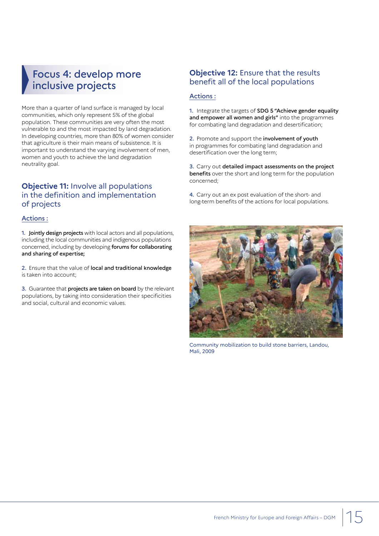### Focus 4: develop more inclusive projects

More than a quarter of land surface is managed by local communities, which only represent 5% of the global population. These communities are very often the most vulnerable to and the most impacted by land degradation. In developing countries, more than 80% of women consider that agriculture is their main means of subsistence. It is important to understand the varying involvement of men, women and youth to achieve the land degradation neutrality goal.

#### **Objective 11:** Involve all populations in the definition and implementation of projects

#### Actions :

1. Jointly design projects with local actors and all populations, including the local communities and indigenous populations concerned, including by developing forums for collaborating and sharing of expertise;

2. Ensure that the value of local and traditional knowledge is taken into account;

3. Guarantee that projects are taken on board by the relevant populations, by taking into consideration their specificities and social, cultural and economic values.

#### **Objective 12:** Ensure that the results benefit all of the local populations

#### Actions :

1. Integrate the targets of SDG 5 "Achieve gender equality and empower all women and girls" into the programmes for combating land degradation and desertification;

2. Promote and support the involvement of youth in programmes for combating land degradation and desertification over the long term;

3. Carry out detailed impact assessments on the project benefits over the short and long term for the population concerned;

4. Carry out an ex post evaluation of the short- and long-term benefits of the actions for local populations.



Community mobilization to build stone barriers, Landou, Mali, 2009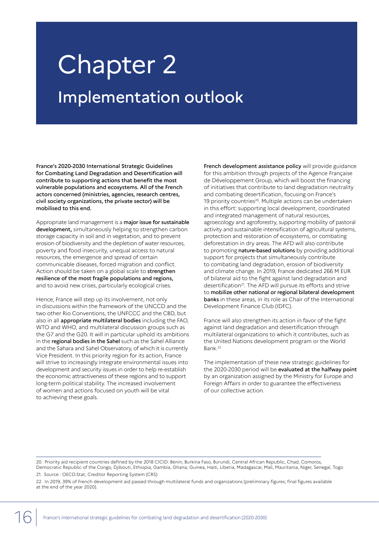# Chapter 2

## Implementation outlook

France's 2020-2030 International Strategic Guidelines for Combating Land Degradation and Desertification will contribute to supporting actions that benefit the most vulnerable populations and ecosystems. All of the French actors concerned (ministries, agencies, research centres, civil society organizations, the private sector) will be mobilised to this end.

Appropriate land management is a major issue for sustainable development, simultaneously helping to strengthen carbon storage capacity in soil and in vegetation, and to prevent erosion of biodiversity and the depletion of water resources, poverty and food insecurity, unequal access to natural resources, the emergence and spread of certain communicable diseases, forced migration and conflict. Action should be taken on a global scale to strengthen resilience of the most fragile populations and regions, and to avoid new crises, particularly ecological crises.

Hence, France will step up its involvement, not only in discussions within the framework of the UNCCD and the two other Rio Conventions, the UNFCCC and the CBD, but also in all appropriate multilateral bodies including the FAO, WTO and WHO, and multilateral discussion groups such as the G7 and the G20. It will in particular uphold its ambitions in the **regional bodies in the Sahel** such as the Sahel Alliance and the Sahara and Sahel Observatory, of which it is currently Vice President. In this priority region for its action, France will strive to increasingly integrate environmental issues into development and security issues in order to help re-establish the economic attractiveness of these regions and to support long-term political stability. The increased involvement of women and actions focused on youth will be vital to achieving these goals.

French development assistance policy will provide guidance for this ambition through projects of the Agence Française de Développement Group, which will boost the financing of initiatives that contribute to land degradation neutrality and combating desertification, focusing on France's 19 priority countries<sup>20</sup>. Multiple actions can be undertaken in this effort: supporting local development, coordinated and integrated management of natural resources, agroecology and agroforestry, supporting mobility of pastoral activity and sustainable intensification of agricultural systems, protection and restoration of ecosystems, or combating deforestation in dry areas. The AFD will also contribute to promoting nature-based solutions by providing additional support for projects that simultaneously contribute to combating land degradation, erosion of biodiversity and climate change. In 2019, France dedicated 266 M EUR of bilateral aid to the fight against land degradation and desertification<sup>21</sup>. The AFD will pursue its efforts and strive to mobilize other national or regional bilateral development banks in these areas, in its role as Chair of the International Development Finance Club (IDFC).

France will also strengthen its action in favor of the fight against land degradation and desertification through multilateral organizations to which it contributes, such as the United Nations development program or the World Bank.22

The implementation of these new strategic guidelines for the 2020-2030 period will be evaluated at the halfway point by an organization assigned by the Ministry for Europe and Foreign Affairs in order to guarantee the effectiveness of our collective action.

20. Priority aid recipient countries defined by the 2018 CICID: Benin, Burkina Faso, Burundi, Central African Republic, Chad, Comoros, Democratic Republic of the Congo, Djibouti, Ethiopia, Gambia, Ghana, Guinea, Haiti, Liberia, Madagascar, Mali, Mauritania, Niger, Senegal, Togo 21. Source : OECD.Stat, Creditor Reporting System (CRS)

22. In 2019, 39% of French development aid passed through multilateral funds and organizations (preliminary figures; final figures available at the end of the year 2020).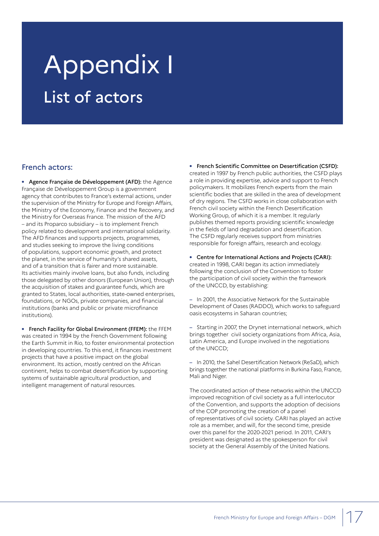# Appendix I List of actors

#### French actors:

**•** [Agence Française de Développement \(AFD\):](https://www.afd.fr/en) the Agence Française de Développement Group is a government agency that contributes to France's external actions, under the supervision of the Ministry for Europe and Foreign Affairs, the Ministry of the Economy, Finance and the Recovery, and the Ministry for Overseas France. The mission of the AFD – and its Proparco subsidiary – is to implement French policy related to development and international solidarity. The AFD finances and supports projects, programmes, and studies seeking to improve the living conditions of populations, support economic growth, and protect the planet, in the service of humanity's shared assets, and of a transition that is fairer and more sustainable. Its activities mainly involve loans, but also funds, including those delegated by other donors (European Union), through the acquisition of stakes and guarantee funds, which are granted to States, local authorities, state-owned enterprises, foundations, or NGOs, private companies, and financial institutions (banks and public or private microfinance institutions).

**•** [French Facility for Global Environment \(FFEM\):](https://www.ffem.fr/en) the FFEM was created in 1994 by the French Government following the Earth Summit in Rio, to foster environmental protection in developing countries. To this end, it finances investment projects that have a positive impact on the global environment. Its action, mostly centred on the African continent, helps to combat desertification by supporting systems of sustainable agricultural production, and intelligent management of natural resources.

**•** [French Scientific Committee on Desertification \(CSFD\):](http://www.csf-desertification.eu/) created in 1997 by French public authorities, the CSFD plays a role in providing expertise, advice and support to French policymakers. It mobilizes French experts from the main scientific bodies that are skilled in the area of development of dry regions. The CSFD works in close collaboration with French civil society within the French Desertification Working Group, of which it is a member. It regularly publishes themed reports providing scientific knowledge in the fields of land degradation and desertification. The CSFD regularly receives support from ministries responsible for foreign affairs, research and ecology.

**•** [Centre for International Actions and Projects \(CARI\):](http://www.en.cariassociation.org/) created in 1998, CARI began its action immediately following the conclusion of the Convention to foster the participation of civil society within the framework of the UNCCD, by establishing:

– In 2001, the Associative Network for the Sustainable Development of Oases (RADDO), which works to safeguard oasis ecosystems in Saharan countries;

– Starting in 2007, the Drynet international network, which brings together civil society organizations from Africa, Asia, Latin America, and Europe involved in the negotiations of the UNCCD;

– In 2010, the Sahel Desertification Network (ReSaD), which brings together the national platforms in Burkina Faso, France, Mali and Niger.

The coordinated action of these networks within the UNCCD improved recognition of civil society as a full interlocutor of the Convention, and supports the adoption of decisions of the COP promoting the creation of a panel of representatives of civil society. CARI has played an active role as a member, and will, for the second time, preside over this panel for the 2020-2021 period. In 2011, CARI's president was designated as the spokesperson for civil society at the General Assembly of the United Nations.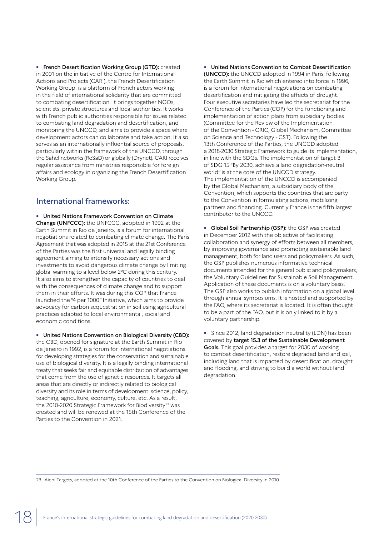**•** [French Desertification Working Group \(GTD\):](http://www.gtdesertification.org/) created in 2001 on the initiative of the Centre for International Actions and Projects (CARI), the French Desertification Working Group is a platform of French actors working in the field of international solidarity that are committed to combating desertification. It brings together NGOs, scientists, private structures and local authorities. It works with French public authorities responsible for issues related to combating land degradation and desertification, and monitoring the UNCCD, and aims to provide a space where development actors can collaborate and take action. It also serves as an internationally influential source of proposals, particularly within the framework of the UNCCD, through the Sahel networks (ReSaD) or globally (Drynet). CARI receives regular assistance from ministries responsible for foreign affairs and ecology in organizing the French Desertification Working Group.

#### International frameworks:

**•** [United Nations Framework Convention on Climate](https://unfccc.int/)  [Change \(UNFCCC\):](https://unfccc.int/) the UNFCCC, adopted in 1992 at the Earth Summit in Rio de Janeiro, is a forum for international negotiations related to combating climate change. The Paris Agreement that was adopted in 2015 at the 21st Conference of the Parties was the first universal and legally binding agreement aiming to intensify necessary actions and investments to avoid dangerous climate change by limiting global warming to a level below 2°C during this century. It also aims to strengthen the capacity of countries to deal with the consequences of climate change and to support them in their efforts. It was during this COP that France launched the "4 per 1000" Initiative, which aims to provide advocacy for carbon sequestration in soil using agricultural practices adapted to local environmental, social and economic conditions.

**•** [United Nations Convention on Biological Diversity \(CBD\):](https://www.cbd.int/) the CBD, opened for signature at the Earth Summit in Rio de Janeiro in 1992, is a forum for international negotiations for developing strategies for the conservation and sustainable use of biological diversity. It is a legally binding international treaty that seeks fair and equitable distribution of advantages that come from the use of genetic resources. It targets all areas that are directly or indirectly related to biological diversity and its role in terms of development: science, policy, teaching, agriculture, economy, culture, etc. As a result, the 2010-2020 Strategic Framework for Biodiversity<sup>23</sup> was created and will be renewed at the 15th Conference of the Parties to the Convention in 2021.

**•** [United Nations Convention to Combat Desertification](https://www.unccd.int/)  [\(UNCCD\):](https://www.unccd.int/) the UNCCD adopted in 1994 in Paris, following the Earth Summit in Rio which entered into force in 1996, is a forum for international negotiations on combating desertification and mitigating the effects of drought. Four executive secretaries have led the secretariat for the Conference of the Parties (COP) for the functioning and implementation of action plans from subsidiary bodies (Committee for the Review of the Implementation of the Convention - CRIC, Global Mechanism, Committee on Science and Technology - CST). Following the 13th Conference of the Parties, the UNCCD adopted a 2018-2030 Strategic Framework to guide its implementation, in line with the SDGs. The implementation of target 3 of SDG 15 "By 2030, achieve a land degradation-neutral world" is at the core of the UNCCD strategy. The implementation of the UNCCD is accompanied by the Global Mechanism, a subsidiary body of the Convention, which supports the countries that are party to the Convention in formulating actions, mobilizing partners and financing. Currently France is the fifth largest contributor to the UNCCD.

**•** [Global Soil Partnership \(GSP\):](http://www.fao.org/global-soil-partnership/about/why-the-partnership/en/) the GSP was created in December 2012 with the objective of facilitating collaboration and synergy of efforts between all members, by improving governance and promoting sustainable land management, both for land users and policymakers. As such, the GSP publishes numerous informative technical documents intended for the general public and policymakers, the Voluntary Guidelines for Sustainable Soil Management. Application of these documents is on a voluntary basis. The GSP also works to publish information on a global level through annual symposiums. It is hosted and supported by the FAO, where its secretariat is located. It is often thought to be a part of the FAO, but it is only linked to it by a voluntary partnership.

**•** Since 2012, land degradation neutrality (LDN) has been covered by [target 15.3 of the Sustainable Development](https://www.un.org/sustainabledevelopment/biodiversity/)  [Goals.](https://www.un.org/sustainabledevelopment/biodiversity/) This goal provides a target for 2030 of working to combat desertification, restore degraded land and soil, including land that is impacted by desertification, drought and flooding, and striving to build a world without land degradation.

23. Aichi Targets, adopted at the 10th Conference of the Parties to the Convention on Biological Diversity in 2010.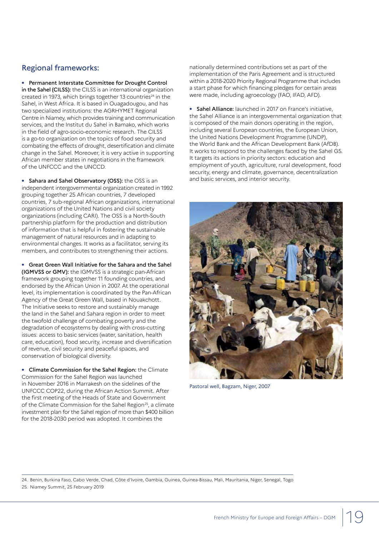#### Regional frameworks:

**•** [Permanent Interstate Committee for Drought Control](http://www.cilss.int/) 

in [the Sahel \(CILSS\):](http://www.cilss.int/) the CILSS is an international organization created in 1973, which brings together 13 countries<sup>24</sup> in the Sahel, in West Africa. It is based in Ouagadougou, and has two specialized institutions: the AGRHYMET Regional Centre in Niamey, which provides training and communication services, and the Institut du Sahel in Bamako, which works in the field of agro-socio-economic research. The CILSS is a go-to organization on the topics of food security and combating the effects of drought, desertification and climate change in the Sahel. Moreover, it is very active in supporting African member states in negotiations in the framework of the UNFCCC and the UNCCD.

**•** [Sahara and Sahel Observatory \(OSS\):](http://www.oss-online.org/) the OSS is an independent intergovernmental organization created in 1992 grouping together 25 African countries, 7 developed countries, 7 sub-regional African organizations, international organizations of the United Nations and civil society organizations (including CARI). The OSS is a North-South partnership platform for the production and distribution of information that is helpful in fostering the sustainable management of natural resources and in adapting to environmental changes. It works as a facilitator, serving its members, and contributes to strengthening their actions.

**•** [Great Green Wall Initiative for the Sahara and the Sahel](https://www.grandemurailleverte.org/)  [\(IGMVSS or GMV\):](https://www.grandemurailleverte.org/) the IGMVSS is a strategic pan-African framework grouping together 11 founding countries, and endorsed by the African Union in 2007. At the operational level, its implementation is coordinated by the Pan-African Agency of the Great Green Wall, based in Nouakchott. The Initiative seeks to restore and sustainably manage the land in the Sahel and Sahara region in order to meet the twofold challenge of combating poverty and the degradation of ecosystems by dealing with cross-cutting issues: access to basic services (water, sanitation, health care, education), food security, increase and diversification of revenue, civil security and peaceful spaces, and conservation of biological diversity.

**•** Climate Commission for the Sahel Region: the Climate Commission for the Sahel Region was launched in November 2016 in Marrakesh on the sidelines of the UNFCCC COP22, during the African Action Summit. After the first meeting of the Heads of State and Government of the Climate Commission for the Sahel Region<sup>25</sup>, a climate investment plan for the Sahel region of more than \$400 billion for the 2018-2030 period was adopted. It combines the

nationally determined contributions set as part of the implementation of the Paris Agreement and is structured within a 2018-2020 Priority Regional Programme that includes a start phase for which financing pledges for certain areas were made, including agroecology (FAO, IFAD, AFD).

**•** [Sahel Alliance:](https://www.alliance-sahel.org/en/) launched in 2017 on France's initiative, the Sahel Alliance is an intergovernmental organization that is composed of the main donors operating in the region, including several European countries, the European Union, the United Nations Development Programme (UNDP), the World Bank and the African Development Bank (AfDB). It works to respond to the challenges faced by the Sahel G5. It targets its actions in priority sectors: education and employment of youth, agriculture, rural development, food security, energy and climate, governance, decentralization and basic services, and interior security.



Pastoral well, Bagzam, Niger, 2007

24. Benin, Burkina Faso, Cabo Verde, Chad, Côte d'Ivoire, Gambia, Guinea, Guinea-Bissau, Mali, Mauritania, Niger, Senegal, Togo 25. Niamey Summit, 25 February 2019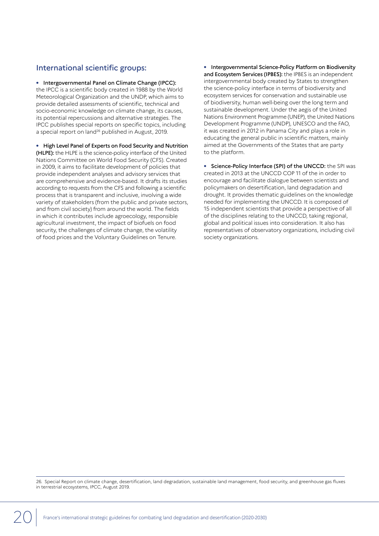#### International scientific groups:

#### **•** [Intergovernmental Panel on Climate Change \(IPCC\):](https://www.ipcc.ch/)

the IPCC is a scientific body created in 1988 by the World Meteorological Organization and the UNDP, which aims to provide detailed assessments of scientific, technical and socio-economic knowledge on climate change, its causes, its potential repercussions and alternative strategies. The IPCC publishes special reports on specific topics, including a special report on land<sup>26</sup> published in August, 2019.

**•** [High Level Panel of Experts on Food Security and Nutrition](http://www.fao.org/cfs/cfs-hlpe/en/) 

[\(HLPE\):](http://www.fao.org/cfs/cfs-hlpe/en/) the HLPE is the science-policy interface of the United Nations Committee on World Food Security (CFS). Created in 2009, it aims to facilitate development of policies that provide independent analyses and advisory services that are comprehensive and evidence-based. It drafts its studies according to requests from the CFS and following a scientific process that is transparent and inclusive, involving a wide variety of stakeholders (from the public and private sectors, and from civil society) from around the world. The fields in which it contributes include agroecology, responsible agricultural investment, the impact of biofuels on food security, the challenges of climate change, the volatility of food prices and the Voluntary Guidelines on Tenure.

**•** [Intergovernmental Science-Policy Platform on Biodiversity](https://ipbes.net/)  [and Ecosystem Services \(IPBES\):](https://ipbes.net/) the IPBES is an independent intergovernmental body created by States to strengthen the science-policy interface in terms of biodiversity and ecosystem services for conservation and sustainable use of biodiversity, human well-being over the long term and sustainable development. Under the aegis of the United Nations Environment Programme (UNEP), the United Nations Development Programme (UNDP), UNESCO and the FAO, it was created in 2012 in Panama City and plays a role in educating the general public in scientific matters, mainly aimed at the Governments of the States that are party to the platform.

**•** [Science-Policy Interface \(SPI\) of the UNCCD:](https://knowledge.unccd.int/science-policy-interface) the SPI was created in 2013 at the UNCCD COP 11 of the in order to encourage and facilitate dialogue between scientists and policymakers on desertification, land degradation and drought. It provides thematic guidelines on the knowledge needed for implementing the UNCCD. It is composed of 15 independent scientists that provide a perspective of all of the disciplines relating to the UNCCD, taking regional, global and political issues into consideration. It also has representatives of observatory organizations, including civil society organizations.

26. Special Report on climate change, desertification, land degradation, sustainable land management, food security, and greenhouse gas fluxes in terrestrial ecosystems, IPCC, August 2019.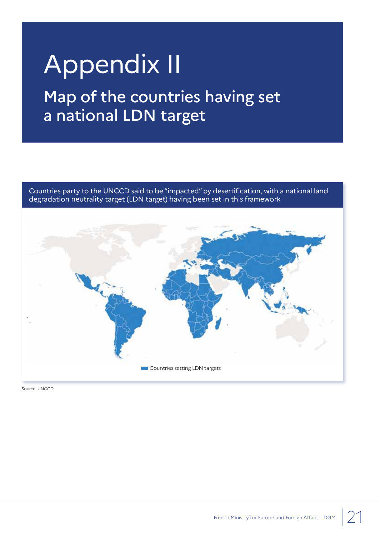# Appendix II

### Map of the countries having set a national LDN target

Countries party to the UNCCD said to be "impacted" by desertification, with a national land degradation neutrality target (LDN target) having been set in this framework



Source: UNCCD.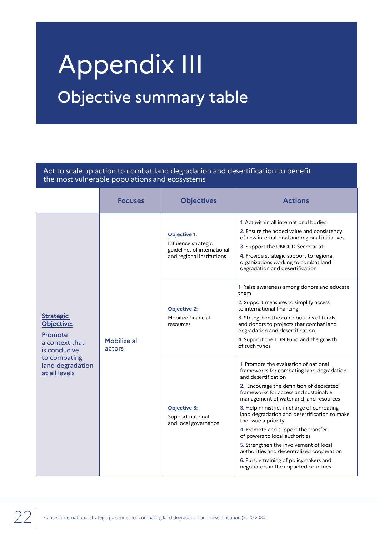# Appendix III Objective summary table

Act to scale up action to combat land degradation and desertification to benefit the most vulnerable populations and ecosystems

|                                                                                                                                         | <b>Focuses</b>         | <b>Objectives</b>                                                                                      | <b>Actions</b>                                                                                                                                                                                                                                                                                                                                                                                                                                                                                                                                                                                                   |
|-----------------------------------------------------------------------------------------------------------------------------------------|------------------------|--------------------------------------------------------------------------------------------------------|------------------------------------------------------------------------------------------------------------------------------------------------------------------------------------------------------------------------------------------------------------------------------------------------------------------------------------------------------------------------------------------------------------------------------------------------------------------------------------------------------------------------------------------------------------------------------------------------------------------|
| <b>Strategic</b><br><b>Objective:</b><br>Promote<br>a context that<br>is conducive<br>to combating<br>land degradation<br>at all levels | Mobilize all<br>actors | <b>Objective 1:</b><br>Influence strategic<br>guidelines of international<br>and regional institutions | 1. Act within all international bodies<br>2. Ensure the added value and consistency<br>of new international and regional initiatives<br>3. Support the UNCCD Secretariat<br>4. Provide strategic support to regional<br>organizations working to combat land<br>degradation and desertification                                                                                                                                                                                                                                                                                                                  |
|                                                                                                                                         |                        | <b>Objective 2:</b><br>Mobilize financial<br>resources                                                 | 1. Raise awareness among donors and educate<br>them<br>2. Support measures to simplify access<br>to international financing<br>3. Strengthen the contributions of funds<br>and donors to projects that combat land<br>degradation and desertification<br>4. Support the LDN Fund and the growth<br>of such funds                                                                                                                                                                                                                                                                                                 |
|                                                                                                                                         |                        | <b>Objective 3:</b><br>Support national<br>and local governance                                        | 1. Promote the evaluation of national<br>frameworks for combating land degradation<br>and desertification<br>2. Encourage the definition of dedicated<br>frameworks for access and sustainable<br>management of water and land resources<br>3. Help ministries in charge of combating<br>land degradation and desertification to make<br>the issue a priority<br>4. Promote and support the transfer<br>of powers to local authorities<br>5. Strengthen the involvement of local<br>authorities and decentralized cooperation<br>6. Pursue training of policymakers and<br>negotiators in the impacted countries |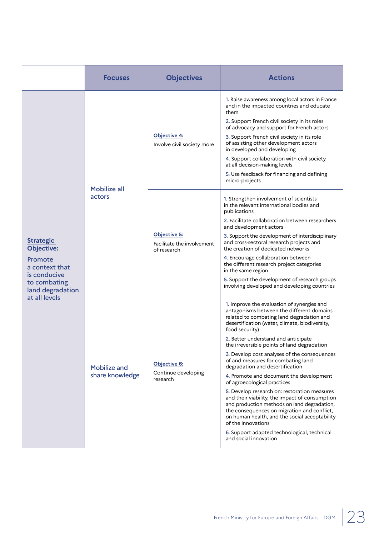|                                                                                                                                  | <b>Focuses</b>                         | <b>Objectives</b>                                                | <b>Actions</b>                                                                                                                                                                                                                                                                                                                                                                                                                                                                                                                                                                                                                                                                                                                                                                                                                                   |
|----------------------------------------------------------------------------------------------------------------------------------|----------------------------------------|------------------------------------------------------------------|--------------------------------------------------------------------------------------------------------------------------------------------------------------------------------------------------------------------------------------------------------------------------------------------------------------------------------------------------------------------------------------------------------------------------------------------------------------------------------------------------------------------------------------------------------------------------------------------------------------------------------------------------------------------------------------------------------------------------------------------------------------------------------------------------------------------------------------------------|
| <b>Strategic</b><br>Objective:<br>Promote<br>a context that<br>is conducive<br>to combating<br>land degradation<br>at all levels | Mobilize all<br>actors                 | <b>Objective 4:</b><br>Involve civil society more                | 1. Raise awareness among local actors in France<br>and in the impacted countries and educate<br>them<br>2. Support French civil society in its roles<br>of advocacy and support for French actors<br>3. Support French civil society in its role<br>of assisting other development actors<br>in developed and developing<br>4. Support collaboration with civil society<br>at all decision-making levels<br>5. Use feedback for financing and defining<br>micro-projects                                                                                                                                                                                                                                                                                                                                                                         |
|                                                                                                                                  |                                        | <b>Objective 5:</b><br>Facilitate the involvement<br>of research | 1. Strengthen involvement of scientists<br>in the relevant international bodies and<br>publications<br>2. Facilitate collaboration between researchers<br>and development actors<br>3. Support the development of interdisciplinary<br>and cross-sectoral research projects and<br>the creation of dedicated networks<br>4. Encourage collaboration between<br>the different research project categories<br>in the same region<br>5. Support the development of research groups<br>involving developed and developing countries                                                                                                                                                                                                                                                                                                                  |
|                                                                                                                                  | <b>Mobilize and</b><br>share knowledge | <b>Objective 6:</b><br>Continue developing<br>research           | 1. Improve the evaluation of synergies and<br>antagonisms between the different domains<br>related to combating land degradation and<br>desertification (water, climate, biodiversity,<br>food security)<br>2. Better understand and anticipate<br>the irreversible points of land degradation<br>3. Develop cost analyses of the consequences<br>of and measures for combating land<br>degradation and desertification<br>4. Promote and document the development<br>of agroecological practices<br>5. Develop research on: restoration measures<br>and their viability, the impact of consumption<br>and production methods on land degradation,<br>the consequences on migration and conflict,<br>on human health, and the social acceptability<br>of the innovations<br>6. Support adapted technological, technical<br>and social innovation |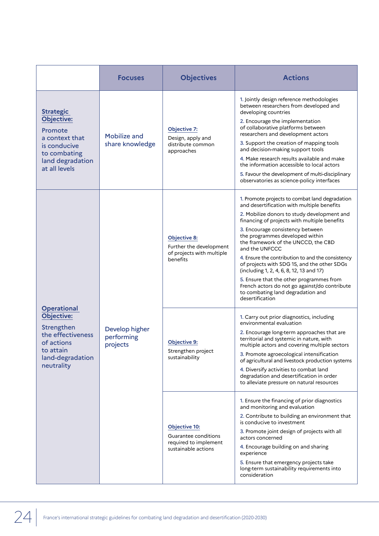|                                                                                                                                  | <b>Focuses</b>                           | <b>Objectives</b>                                                                            | <b>Actions</b>                                                                                                                                                                                                                                                                                                                                                                                                                                                                                                                                                                                                                   |
|----------------------------------------------------------------------------------------------------------------------------------|------------------------------------------|----------------------------------------------------------------------------------------------|----------------------------------------------------------------------------------------------------------------------------------------------------------------------------------------------------------------------------------------------------------------------------------------------------------------------------------------------------------------------------------------------------------------------------------------------------------------------------------------------------------------------------------------------------------------------------------------------------------------------------------|
| <b>Strategic</b><br>Objective:<br>Promote<br>a context that<br>is conducive<br>to combating<br>land degradation<br>at all levels | Mobilize and<br>share knowledge          | <b>Objective 7:</b><br>Design, apply and<br>distribute common<br>approaches                  | 1. Jointly design reference methodologies<br>between researchers from developed and<br>developing countries<br>2. Encourage the implementation<br>of collaborative platforms between<br>researchers and development actors<br>3. Support the creation of mapping tools<br>and decision-making support tools<br>4. Make research results available and make<br>the information accessible to local actors<br>5. Favour the development of multi-disciplinary<br>observatories as science-policy interfaces                                                                                                                        |
| <b>Operational</b><br>Objective:<br>Strengthen<br>the effectiveness<br>of actions<br>to attain<br>land-degradation<br>neutrality | Develop higher<br>performing<br>projects | <b>Objective 8:</b><br>Further the development<br>of projects with multiple<br>benefits      | 1. Promote projects to combat land degradation<br>and desertification with multiple benefits<br>2. Mobilize donors to study development and<br>financing of projects with multiple benefits<br>3. Encourage consistency between<br>the programmes developed within<br>the framework of the UNCCD, the CBD<br>and the UNFCCC<br>4. Ensure the contribution to and the consistency<br>of projects with SDG 15, and the other SDGs<br>(including 1, 2, 4, 6, 8, 12, 13 and 17)<br>5. Ensure that the other programmes from<br>French actors do not go against/do contribute<br>to combating land degradation and<br>desertification |
|                                                                                                                                  |                                          | <b>Objective 9:</b><br>Strengthen project<br>sustainability                                  | 1. Carry out prior diagnostics, including<br>environmental evaluation<br>2. Encourage long-term approaches that are<br>territorial and systemic in nature, with<br>multiple actors and covering multiple sectors<br>3. Promote agroecological intensification<br>of agricultural and livestock production systems<br>4. Diversify activities to combat land<br>degradation and desertification in order<br>to alleviate pressure on natural resources                                                                                                                                                                            |
|                                                                                                                                  |                                          | <b>Objective 10:</b><br>Guarantee conditions<br>required to implement<br>sustainable actions | 1. Ensure the financing of prior diagnostics<br>and monitoring and evaluation<br>2. Contribute to building an environment that<br>is conducive to investment<br>3. Promote joint design of projects with all<br>actors concerned<br>4. Encourage building on and sharing<br>experience<br>5. Ensure that emergency projects take<br>long-term sustainability requirements into<br>consideration                                                                                                                                                                                                                                  |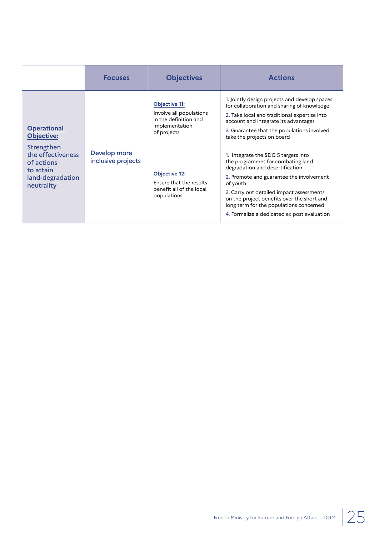|                                                                                              | <b>Focuses</b>                                                                                            | <b>Objectives</b>                                                                                                                                                                                                                                               | <b>Actions</b>                                                                                                                                                                                                                                                                                                                                          |
|----------------------------------------------------------------------------------------------|-----------------------------------------------------------------------------------------------------------|-----------------------------------------------------------------------------------------------------------------------------------------------------------------------------------------------------------------------------------------------------------------|---------------------------------------------------------------------------------------------------------------------------------------------------------------------------------------------------------------------------------------------------------------------------------------------------------------------------------------------------------|
| <b>Operational</b><br><b>Objective:</b>                                                      | <b>Objective 11:</b><br>Involve all populations<br>in the definition and<br>implementation<br>of projects | 1. Jointly design projects and develop spaces<br>for collaboration and sharing of knowledge<br>2. Take local and traditional expertise into<br>account and integrate its advantages<br>3. Guarantee that the populations involved<br>take the projects on board |                                                                                                                                                                                                                                                                                                                                                         |
| Strengthen<br>the effectiveness<br>of actions<br>to attain<br>land-degradation<br>neutrality | Develop more<br>inclusive projects                                                                        | <b>Objective 12:</b><br>Ensure that the results<br>benefit all of the local<br>populations                                                                                                                                                                      | 1. Integrate the SDG 5 targets into<br>the programmes for combating land<br>degradation and desertification<br>2. Promote and guarantee the involvement<br>of youth<br>3. Carry out detailed impact assessments<br>on the project benefits over the short and<br>long term for the populations concerned<br>4. Formalize a dedicated ex post evaluation |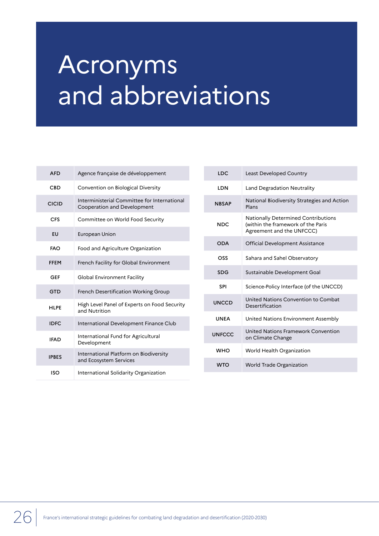# Acronyms and abbreviations

| <b>AFD</b>   | Agence française de développement                                           |
|--------------|-----------------------------------------------------------------------------|
| <b>CBD</b>   | Convention on Biological Diversity                                          |
| <b>CICID</b> | Interministerial Committee for International<br>Cooperation and Development |
| <b>CFS</b>   | Committee on World Food Security                                            |
| EU           | European Union                                                              |
| <b>FAO</b>   | Food and Agriculture Organization                                           |
| <b>FFEM</b>  | French Facility for Global Environment                                      |
| GEF          | Global Environment Facility                                                 |
| <b>GTD</b>   | French Desertification Working Group                                        |
| <b>HLPE</b>  | High Level Panel of Experts on Food Security<br>and Nutrition               |
| <b>IDFC</b>  | International Development Finance Club                                      |
| <b>IFAD</b>  | International Fund for Agricultural<br>Development                          |
| <b>IPBES</b> | International Platform on Biodiversity<br>and Ecosystem Services            |
| ISO          | International Solidarity Organization                                       |

| <b>LDC</b>    | Least Developed Country                                                                                       |
|---------------|---------------------------------------------------------------------------------------------------------------|
| LDN           | Land Degradation Neutrality                                                                                   |
| <b>NBSAP</b>  | National Biodiversity Strategies and Action<br>Plans                                                          |
| NDC.          | <b>Nationally Determined Contributions</b><br>(within the framework of the Paris<br>Agreement and the UNFCCC) |
| <b>ODA</b>    | Official Development Assistance                                                                               |
| OSS           | Sahara and Sahel Observatory                                                                                  |
| <b>SDG</b>    | Sustainable Development Goal                                                                                  |
| SPI           | Science-Policy Interface (of the UNCCD)                                                                       |
| <b>UNCCD</b>  | United Nations Convention to Combat<br>Desertification                                                        |
| <b>UNFA</b>   | United Nations Environment Assembly                                                                           |
| <b>UNFCCC</b> | United Nations Framework Convention<br>on Climate Change                                                      |
| <b>WHO</b>    | World Health Organization                                                                                     |
| <b>WTO</b>    | <b>World Trade Organization</b>                                                                               |